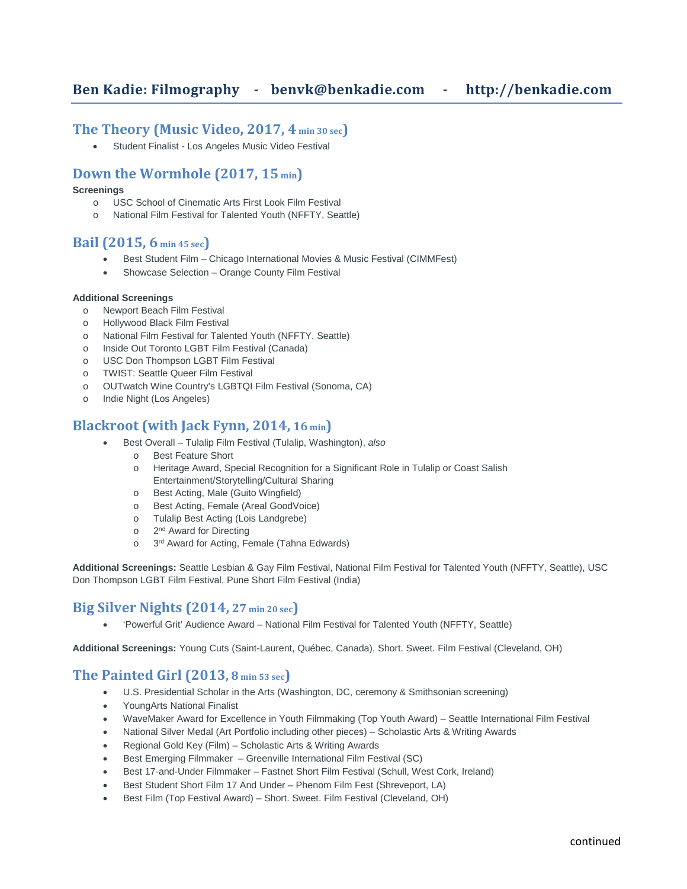## **Ben Kadie: Filmography - [benvk@benkadie.com](mailto:benvk@slugco.com) - http://benkadie.com**

#### **The Theory (Music Video, 2017, 4 min 30 sec)**

Student Finalist - Los Angeles Music Video Festival

### **Down the Wormhole (2017, 15 min)**

#### **Screenings**

- o USC School of Cinematic Arts First Look Film Festival
- o National Film Festival for Talented Youth (NFFTY, Seattle)

### **Bail (2015, 6 min 45 sec)**

- Best Student Film Chicago International Movies & Music Festival (CIMMFest)
- Showcase Selection Orange County Film Festival

#### **Additional Screenings**

- o Newport Beach Film Festival
- o Hollywood Black Film Festival
- o National Film Festival for Talented Youth (NFFTY, Seattle)
- o Inside Out Toronto LGBT Film Festival (Canada)
- o USC Don Thompson LGBT Film Festival
- o TWIST: Seattle Queer Film Festival
- o OUTwatch Wine Country's LGBTQI Film Festival (Sonoma, CA)
- o Indie Night (Los Angeles)

#### **Blackroot (with Jack Fynn, 2014, 16 min)**

- Best Overall Tulalip Film Festival (Tulalip, Washington), *also*
	- o Best Feature Short
		- o Heritage Award, Special Recognition for a Significant Role in Tulalip or Coast Salish Entertainment/Storytelling/Cultural Sharing
		- o Best Acting, Male (Guito Wingfield)
		- o Best Acting, Female (Areal GoodVoice)
		- o Tulalip Best Acting (Lois Landgrebe)
		- o 2<sup>nd</sup> Award for Directing
		- o 3<sup>rd</sup> Award for Acting, Female (Tahna Edwards)

**Additional Screenings:** Seattle Lesbian & Gay Film Festival, National Film Festival for Talented Youth (NFFTY, Seattle), USC Don Thompson LGBT Film Festival, Pune Short Film Festival (India)

### **Big Silver Nights (2014, 27 min 20 sec)**

• 'Powerful Grit' Audience Award – National Film Festival for Talented Youth (NFFTY, Seattle)

**Additional Screenings:** Young Cuts (Saint-Laurent, Québec, Canada), Short. Sweet. Film Festival (Cleveland, OH)

### **The Painted Girl (2013, 8 min 53 sec)**

- U.S. Presidential Scholar in the Arts (Washington, DC, ceremony & Smithsonian screening)
- YoungArts National Finalist
- WaveMaker Award for Excellence in Youth Filmmaking (Top Youth Award) Seattle International Film Festival
- National Silver Medal (Art Portfolio including other pieces) Scholastic Arts & Writing Awards
- Regional Gold Key (Film) Scholastic Arts & Writing Awards
- Best Emerging Filmmaker Greenville International Film Festival (SC)
- Best 17-and-Under Filmmaker Fastnet Short Film Festival (Schull, West Cork, Ireland)
- Best Student Short Film 17 And Under Phenom Film Fest (Shreveport, LA)
- Best Film (Top Festival Award) Short. Sweet. Film Festival (Cleveland, OH)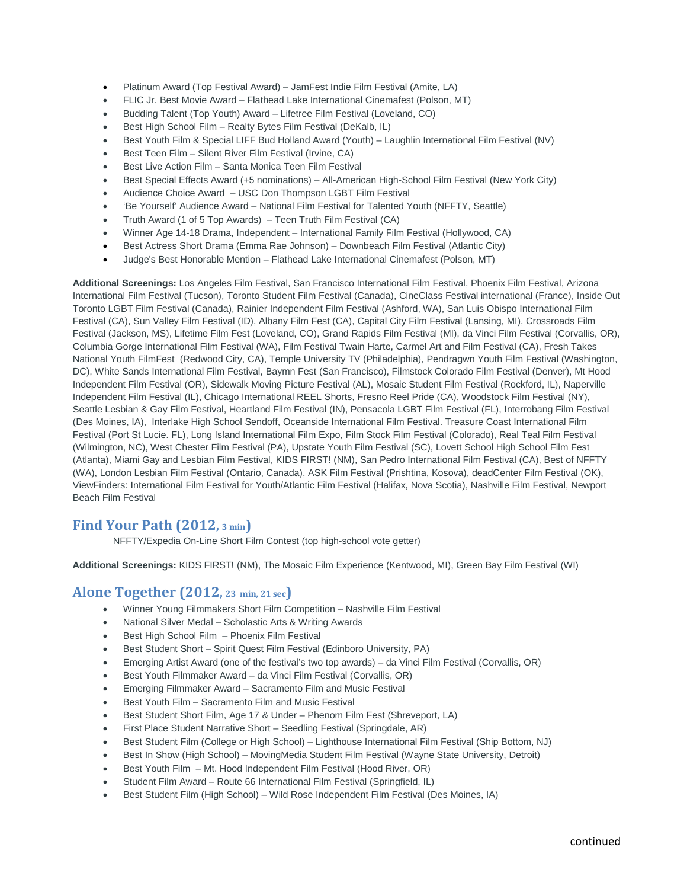- Platinum Award (Top Festival Award) JamFest Indie Film Festival (Amite, LA)
- FLIC Jr. Best Movie Award Flathead Lake International Cinemafest (Polson, MT)
- Budding Talent (Top Youth) Award Lifetree Film Festival (Loveland, CO)
- Best High School Film Realty Bytes Film Festival (DeKalb, IL)
- Best Youth Film & Special LIFF Bud Holland Award (Youth) Laughlin International Film Festival (NV)
- Best Teen Film Silent River Film Festival (Irvine, CA)
- Best Live Action Film Santa Monica Teen Film Festival
- Best Special Effects Award (+5 nominations) All-American High-School Film Festival (New York City)
- Audience Choice Award USC Don Thompson LGBT Film Festival
- 'Be Yourself' Audience Award National Film Festival for Talented Youth (NFFTY, Seattle)
- Truth Award (1 of 5 Top Awards) Teen Truth Film Festival (CA)
- Winner Age 14-18 Drama, Independent International Family Film Festival (Hollywood, CA)
- Best Actress Short Drama (Emma Rae Johnson) Downbeach Film Festival (Atlantic City)
- Judge's Best Honorable Mention Flathead Lake International Cinemafest (Polson, MT)

**Additional Screenings:** Los Angeles Film Festival, San Francisco International Film Festival, Phoenix Film Festival, Arizona International Film Festival (Tucson), Toronto Student Film Festival (Canada), CineClass Festival international (France), Inside Out Toronto LGBT Film Festival (Canada), Rainier Independent Film Festival (Ashford, WA), San Luis Obispo International Film Festival (CA), Sun Valley Film Festival (ID), Albany Film Fest (CA), Capital City Film Festival (Lansing, MI), Crossroads Film Festival (Jackson, MS), Lifetime Film Fest (Loveland, CO), Grand Rapids Film Festival (MI), da Vinci Film Festival (Corvallis, OR), Columbia Gorge International Film Festival (WA), Film Festival Twain Harte, Carmel Art and Film Festival (CA), Fresh Takes National Youth FilmFest (Redwood City, CA), Temple University TV (Philadelphia), Pendragwn Youth Film Festival (Washington, DC), White Sands International Film Festival, Baymn Fest (San Francisco), Filmstock Colorado Film Festival (Denver), Mt Hood Independent Film Festival (OR), Sidewalk Moving Picture Festival (AL), Mosaic Student Film Festival (Rockford, IL), Naperville Independent Film Festival (IL), Chicago International REEL Shorts, Fresno Reel Pride (CA), Woodstock Film Festival (NY), Seattle Lesbian & Gay Film Festival, Heartland Film Festival (IN), Pensacola LGBT Film Festival (FL), Interrobang Film Festival (Des Moines, IA), Interlake High School Sendoff, Oceanside International Film Festival. Treasure Coast International Film Festival (Port St Lucie. FL), Long Island International Film Expo, Film Stock Film Festival (Colorado), Real Teal Film Festival (Wilmington, NC), West Chester Film Festival (PA), Upstate Youth Film Festival (SC), Lovett School High School Film Fest (Atlanta), Miami Gay and Lesbian Film Festival, KIDS FIRST! (NM), San Pedro International Film Festival (CA), Best of NFFTY (WA), London Lesbian Film Festival (Ontario, Canada), ASK Film Festival (Prishtina, Kosova), deadCenter Film Festival (OK), ViewFinders: International Film Festival for Youth/Atlantic Film Festival (Halifax, Nova Scotia), Nashville Film Festival, Newport Beach Film Festival

### **Find Your Path (2012, 3 min)**

NFFTY/Expedia On-Line Short Film Contest (top high-school vote getter)

**Additional Screenings:** KIDS FIRST! (NM), The Mosaic Film Experience (Kentwood, MI), Green Bay Film Festival (WI)

### **Alone Together (2012, 23 min, 21 sec)**

- Winner Young Filmmakers Short Film Competition Nashville Film Festival
- National Silver Medal Scholastic Arts & Writing Awards
- Best High School Film Phoenix Film Festival
- Best Student Short Spirit Quest Film Festival (Edinboro University, PA)
- Emerging Artist Award (one of the festival's two top awards) da Vinci Film Festival (Corvallis, OR)
- Best Youth Filmmaker Award da Vinci Film Festival (Corvallis, OR)
- Emerging Filmmaker Award Sacramento Film and Music Festival
- Best Youth Film Sacramento Film and Music Festival
- Best Student Short Film, Age 17 & Under Phenom Film Fest (Shreveport, LA)
- First Place Student Narrative Short Seedling Festival (Springdale, AR)
- Best Student Film (College or High School) Lighthouse International Film Festival (Ship Bottom, NJ)
- Best In Show (High School) MovingMedia Student Film Festival (Wayne State University, Detroit)
- Best Youth Film Mt. Hood Independent Film Festival (Hood River, OR)
- Student Film Award Route 66 International Film Festival (Springfield, IL)
- Best Student Film (High School) Wild Rose Independent Film Festival (Des Moines, IA)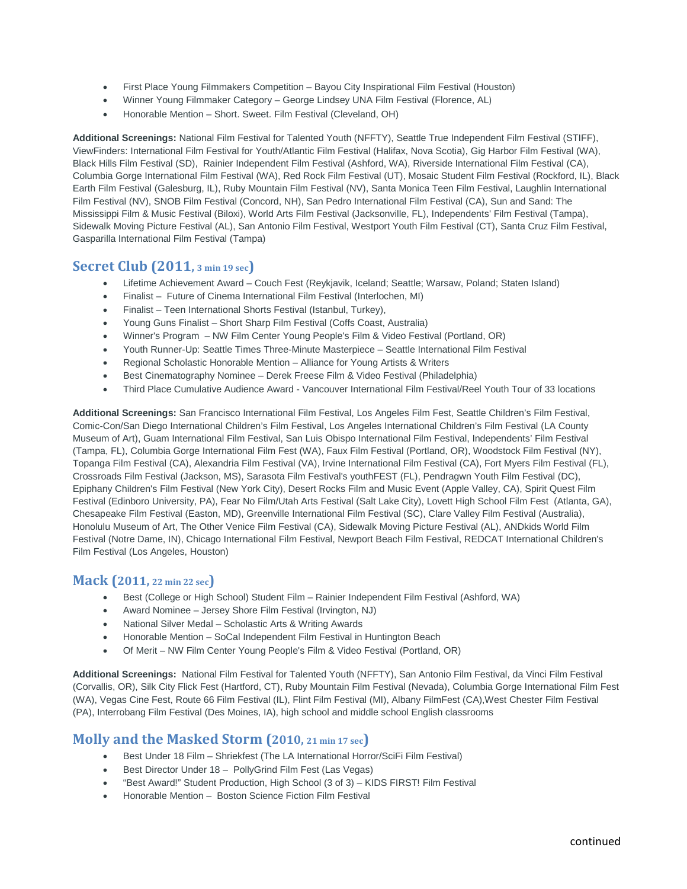- First Place Young Filmmakers Competition Bayou City Inspirational Film Festival (Houston)
- Winner Young Filmmaker Category George Lindsey UNA Film Festival (Florence, AL)
- Honorable Mention Short. Sweet. Film Festival (Cleveland, OH)

**Additional Screenings:** National Film Festival for Talented Youth (NFFTY), Seattle True Independent Film Festival (STIFF), ViewFinders: International Film Festival for Youth/Atlantic Film Festival (Halifax, Nova Scotia), Gig Harbor Film Festival (WA), Black Hills Film Festival (SD), Rainier Independent Film Festival (Ashford, WA), Riverside International Film Festival (CA), Columbia Gorge International Film Festival (WA), Red Rock Film Festival (UT), Mosaic Student Film Festival (Rockford, IL), Black Earth Film Festival (Galesburg, IL), Ruby Mountain Film Festival (NV), Santa Monica Teen Film Festival, Laughlin International Film Festival (NV), SNOB Film Festival (Concord, NH), San Pedro International Film Festival (CA), Sun and Sand: The Mississippi Film & Music Festival (Biloxi), World Arts Film Festival (Jacksonville, FL), Independents' Film Festival (Tampa), Sidewalk Moving Picture Festival (AL), San Antonio Film Festival, Westport Youth Film Festival (CT), Santa Cruz Film Festival, Gasparilla International Film Festival (Tampa)

### **Secret Club (2011, 3 min 19 sec)**

- Lifetime Achievement Award Couch Fest (Reykjavik, Iceland; Seattle; Warsaw, Poland; Staten Island)
- Finalist Future of Cinema International Film Festival (Interlochen, MI)
- Finalist Teen International Shorts Festival (Istanbul, Turkey),
- Young Guns Finalist Short Sharp Film Festival (Coffs Coast, Australia)
- Winner's Program NW Film Center Young People's Film & Video Festival (Portland, OR)
- Youth Runner-Up: Seattle Times Three-Minute Masterpiece Seattle International Film Festival
- Regional Scholastic Honorable Mention Alliance for Young Artists & Writers
- Best Cinematography Nominee Derek Freese Film & Video Festival (Philadelphia)
- Third Place Cumulative Audience Award Vancouver International Film Festival/Reel Youth Tour of 33 locations

**Additional Screenings:** San Francisco International Film Festival, Los Angeles Film Fest, Seattle Children's Film Festival, Comic-Con/San Diego International Children's Film Festival, Los Angeles International Children's Film Festival (LA County Museum of Art), Guam International Film Festival, San Luis Obispo International Film Festival, Independents' Film Festival (Tampa, FL), Columbia Gorge International Film Fest (WA), Faux Film Festival (Portland, OR), Woodstock Film Festival (NY), Topanga Film Festival (CA), Alexandria Film Festival (VA), Irvine International Film Festival (CA), Fort Myers Film Festival (FL), Crossroads Film Festival (Jackson, MS), Sarasota Film Festival's youthFEST (FL), Pendragwn Youth Film Festival (DC), Epiphany Children's Film Festival (New York City), Desert Rocks Film and Music Event (Apple Valley, CA), Spirit Quest Film Festival (Edinboro University, PA), Fear No Film/Utah Arts Festival (Salt Lake City), Lovett High School Film Fest (Atlanta, GA), Chesapeake Film Festival (Easton, MD), Greenville International Film Festival (SC), Clare Valley Film Festival (Australia), Honolulu Museum of Art, The Other Venice Film Festival (CA), Sidewalk Moving Picture Festival (AL), ANDkids World Film Festival (Notre Dame, IN), Chicago International Film Festival, Newport Beach Film Festival, REDCAT International Children's Film Festival (Los Angeles, Houston)

### **Mack (2011, 22 min 22 sec)**

- Best (College or High School) Student Film Rainier Independent Film Festival (Ashford, WA)
- Award Nominee Jersey Shore Film Festival (Irvington, NJ)
- National Silver Medal Scholastic Arts & Writing Awards
- Honorable Mention SoCal Independent Film Festival in Huntington Beach
- Of Merit NW Film Center Young People's Film & Video Festival (Portland, OR)

**Additional Screenings:** National Film Festival for Talented Youth (NFFTY), San Antonio Film Festival, da Vinci Film Festival (Corvallis, OR), Silk City Flick Fest (Hartford, CT), Ruby Mountain Film Festival (Nevada), Columbia Gorge International Film Fest (WA), Vegas Cine Fest, Route 66 Film Festival (IL), Flint Film Festival (MI), Albany FilmFest (CA),West Chester Film Festival (PA), Interrobang Film Festival (Des Moines, IA), high school and middle school English classrooms

### **Molly and the Masked Storm (2010, 21 min 17 sec)**

- Best Under 18 Film Shriekfest (The LA International Horror/SciFi Film Festival)
- Best Director Under 18 PollyGrind Film Fest (Las Vegas)
- "Best Award!" Student Production, High School (3 of 3) KIDS FIRST! Film Festival
- Honorable Mention Boston Science Fiction Film Festival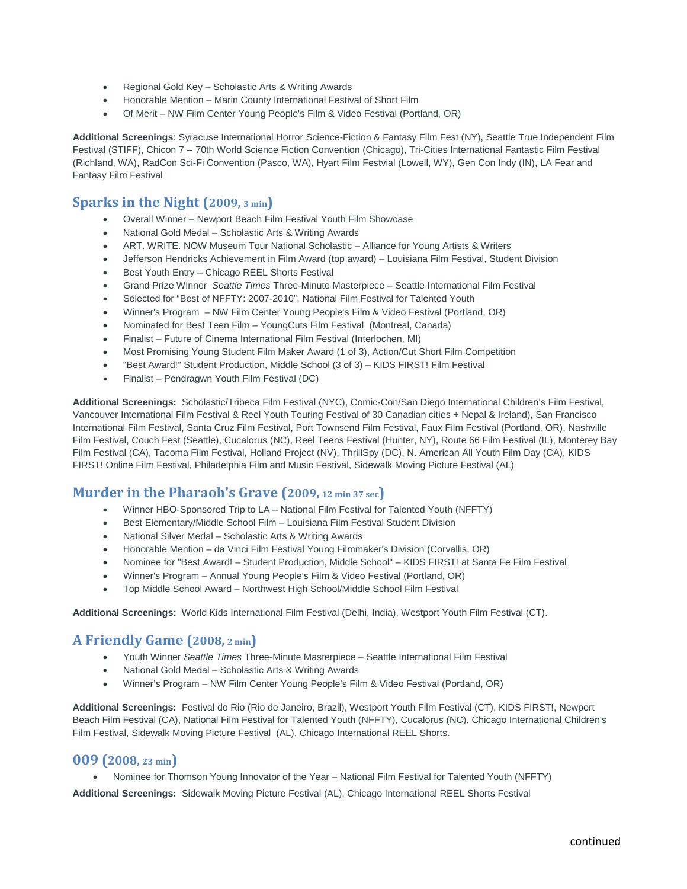- Regional Gold Key Scholastic Arts & Writing Awards
- Honorable Mention Marin County International Festival of Short Film
- Of Merit NW Film Center Young People's Film & Video Festival (Portland, OR)

**Additional Screenings**: Syracuse International Horror Science-Fiction & Fantasy Film Fest (NY), Seattle True Independent Film Festival (STIFF), Chicon 7 -- 70th World Science Fiction Convention (Chicago), Tri-Cities International Fantastic Film Festival (Richland, WA), RadCon Sci-Fi Convention (Pasco, WA), Hyart Film Festvial (Lowell, WY), Gen Con Indy (IN), LA Fear and Fantasy Film Festival

### **Sparks in the Night (2009, 3 min)**

- Overall Winner Newport Beach Film Festival Youth Film Showcase
- National Gold Medal Scholastic Arts & Writing Awards
- ART. WRITE. NOW Museum Tour National Scholastic Alliance for Young Artists & Writers
- Jefferson Hendricks Achievement in Film Award (top award) Louisiana Film Festival, Student Division
- Best Youth Entry Chicago REEL Shorts Festival
- Grand Prize Winner *Seattle Times* Three-Minute Masterpiece Seattle International Film Festival
- Selected for "Best of NFFTY: 2007-2010", National Film Festival for Talented Youth
- Winner's Program NW Film Center Young People's Film & Video Festival (Portland, OR)
- Nominated for Best Teen Film YoungCuts Film Festival (Montreal, Canada)
- Finalist Future of Cinema International Film Festival (Interlochen, MI)
- Most Promising Young Student Film Maker Award (1 of 3), Action/Cut Short Film Competition
- "Best Award!" Student Production, Middle School (3 of 3) KIDS FIRST! Film Festival
- Finalist Pendragwn Youth Film Festival (DC)

**Additional Screenings:** Scholastic/Tribeca Film Festival (NYC), Comic-Con/San Diego International Children's Film Festival, Vancouver International Film Festival & Reel Youth Touring Festival of 30 Canadian cities + Nepal & Ireland), San Francisco International Film Festival, Santa Cruz Film Festival, Port Townsend Film Festival, Faux Film Festival (Portland, OR), Nashville Film Festival, Couch Fest (Seattle), Cucalorus (NC), Reel Teens Festival (Hunter, NY), Route 66 Film Festival (IL), Monterey Bay Film Festival (CA), Tacoma Film Festival, Holland Project (NV), ThrillSpy (DC), N. American All Youth Film Day (CA), KIDS FIRST! Online Film Festival, Philadelphia Film and Music Festival, Sidewalk Moving Picture Festival (AL)

## **Murder in the Pharaoh's Grave (2009, 12 min 37 sec)**

- Winner HBO-Sponsored Trip to LA National Film Festival for Talented Youth (NFFTY)
- Best Elementary/Middle School Film Louisiana Film Festival Student Division
- National Silver Medal Scholastic Arts & Writing Awards
- Honorable Mention da Vinci Film Festival Young Filmmaker's Division (Corvallis, OR)
- Nominee for "Best Award! Student Production, Middle School" KIDS FIRST! at Santa Fe Film Festival
- Winner's Program Annual Young People's Film & Video Festival (Portland, OR)
- Top Middle School Award Northwest High School/Middle School Film Festival

**Additional Screenings:** World Kids International Film Festival (Delhi, India), Westport Youth Film Festival (CT).

### **A Friendly Game (2008, 2 min)**

- Youth Winner *Seattle Times* Three-Minute Masterpiece Seattle International Film Festival
- National Gold Medal Scholastic Arts & Writing Awards
- Winner's Program NW Film Center Young People's Film & Video Festival (Portland, OR)

**Additional Screenings:** Festival do Rio (Rio de Janeiro, Brazil), Westport Youth Film Festival (CT), KIDS FIRST!, Newport Beach Film Festival (CA), National Film Festival for Talented Youth (NFFTY), Cucalorus (NC), Chicago International Children's Film Festival, Sidewalk Moving Picture Festival (AL), Chicago International REEL Shorts.

#### **009 (2008, 23 min)**

• Nominee for Thomson Young Innovator of the Year – National Film Festival for Talented Youth (NFFTY)

**Additional Screenings:** Sidewalk Moving Picture Festival (AL), Chicago International REEL Shorts Festival